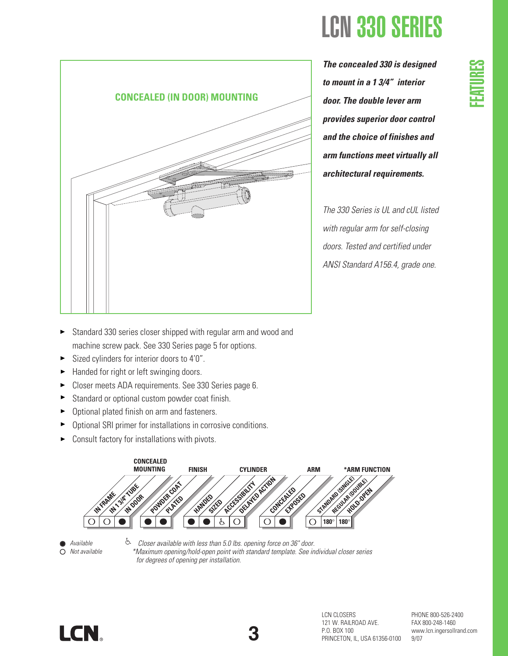

*The concealed 330 is designed to mount in a 1 3/4" interior door. The double lever arm provides superior door control and the choice of finishes and arm functions meet virtually all*

LCN 330 SERIES

*The 330 Series is UL and cUL listed with regular arm for self-closing doors. Tested and certified under ANSI Standard A156.4, grade one.*

- Standard 330 series closer shipped with regular arm and wood and machine screw pack. See 330 Series page 5 for options.
- Sized cylinders for interior doors to 4'0".  $\blacktriangleright$
- Handed for right or left swinging doors.  $\blacktriangleright$
- ► Closer meets ADA requirements. See 330 Series page 6.
- $\blacktriangleright$ Standard or optional custom powder coat finish.
- Optional plated finish on arm and fasteners.  $\blacktriangleright$
- $\blacktriangleright$ Optional SRI primer for installations in corrosive conditions.
- Consult factory for installations with pivots.  $\blacktriangleright$





È *Closer available with less than 5.0 lbs. opening force on 36" door. \*Maximum opening/hold-open point with standard template. See individual closer series for degrees of opening per installation.*





LCN CLOSERS 121 W. RAILROAD AVE. P.O. BOX 100 PRINCETON, IL, USA 61356-0100 PHONE 800-526-2400 FAX 800-248-1460 www.lcn.ingersollrand.com 9/07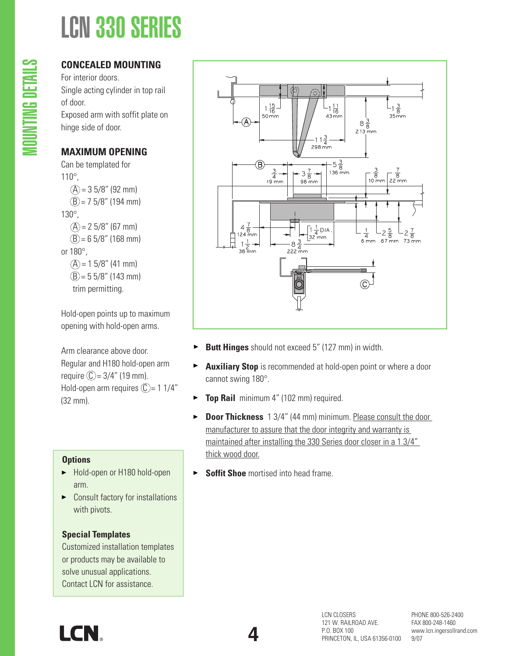# LCN 330 SERIES

## **CONCEALED MOUNTING**

For interior doors. Single acting cylinder in top rail of door. Exposed arm with soffit plate on hinge side of door.

## **MAXIMUM OPENING**

Can be templated for 110°,  $(A) = 35/8$ " (92 mm)  $(B) = 75/8$ " (194 mm) 130°,  $(A) = 25/8$ " (67 mm)  $(B) = 65/8"$  (168 mm) or 180°,  $(A) = 15/8$ " (41 mm)  $(B) = 55/8$ " (143 mm) trim permitting.

Hold-open points up to maximum opening with hold-open arms.

Arm clearance above door. Regular and H180 hold-open arm require  $\mathbb{C} = 3/4$ " (19 mm). Hold-open arm requires  $\mathbb{C}$  = 1 1/4" (32 mm).

## **Options**

- ► Hold-open or H180 hold-open arm.
- ▶ Consult factory for installations with pivots.

## **Special Templates**

Customized installation templates or products may be available to solve unusual applications. Contact LCN for assistance.



- **Butt Hinges** should not exceed 5" (127 mm) in width.
- **Auxiliary Stop** is recommended at hold-open point or where a door  $\blacktriangleright$ cannot swing 180°.
- $\blacktriangleright$ **Top Rail** minimum 4" (102 mm) required.
- **Door Thickness** 1 3/4" (44 mm) minimum. Please consult the door  $\blacktriangleright$ manufacturer to assure that the door integrity and warranty is maintained after installing the 330 Series door closer in a 1 3/4" thick wood door.
- $\blacktriangleright$ **Soffit Shoe** mortised into head frame.

**4**

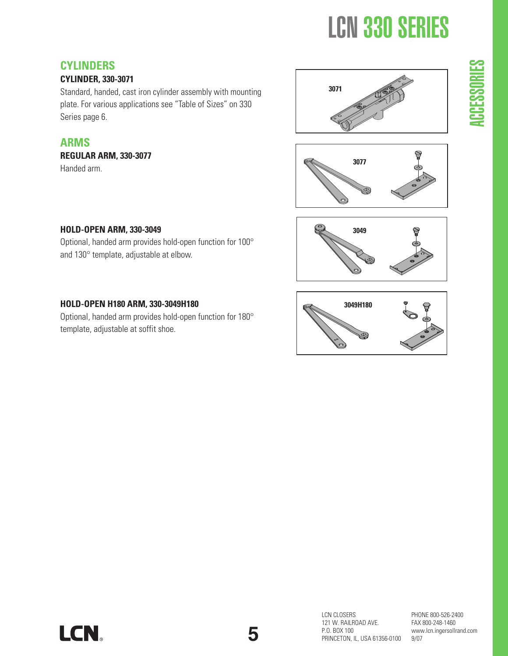# LCN 330 SERIES

## **CYLINDERS**

### **CYLINDER, 330-3071**

Standard, handed, cast iron cylinder assembly with mounting plate. For various applications see "Table of Sizes" on 330 Series page 6.

## **ARMS**

**REGULAR ARM, 330-3077** Handed arm.







## **HOLD-OPEN ARM, 330-3049**

Optional, handed arm provides hold-open function for 100° and 130° template, adjustable at elbow.

### **HOLD-OPEN H180 ARM, 330-3049H180**

Optional, handed arm provides hold-open function for 180° template, adjustable at soffit shoe.



 $\sim$ <u>ہے</u> E Co Co  $\blacksquare$ RIE S



PHONE 800-526-2400 FAX 800-248-1460 www.lcn.ingersollrand.com 9/07